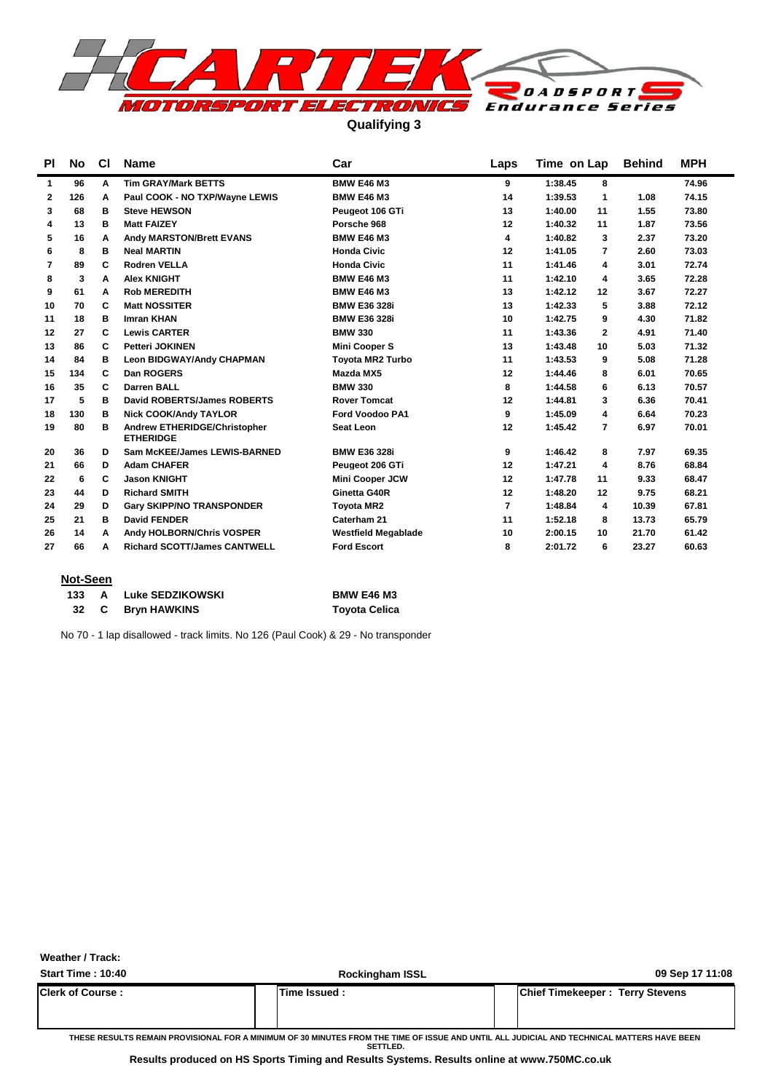

**Qualifying 3**

| ΡI             | No. | <b>CI</b> | <b>Name</b>                                      | Car                        | Laps           | Time on Lap               | <b>Behind</b> | <b>MPH</b> |
|----------------|-----|-----------|--------------------------------------------------|----------------------------|----------------|---------------------------|---------------|------------|
| 1              | 96  | A         | <b>Tim GRAY/Mark BETTS</b>                       | <b>BMW E46 M3</b>          | 9              | 1:38.45<br>8              |               | 74.96      |
| $\mathbf{2}$   | 126 | Α         | Paul COOK - NO TXP/Wayne LEWIS                   | <b>BMW E46 M3</b>          | 14             | 1<br>1:39.53              | 1.08          | 74.15      |
| 3              | 68  | в         | <b>Steve HEWSON</b>                              | Peugeot 106 GTi            | 13             | 1:40.00<br>11             | 1.55          | 73.80      |
| 4              | 13  | в         | <b>Matt FAIZEY</b>                               | Porsche 968                | 12             | 1:40.32<br>11             | 1.87          | 73.56      |
| 5              | 16  | A         | <b>Andy MARSTON/Brett EVANS</b>                  | <b>BMW E46 M3</b>          | 4              | 1:40.82<br>3              | 2.37          | 73.20      |
| 6              | 8   | в         | <b>Neal MARTIN</b>                               | <b>Honda Civic</b>         | 12             | 1:41.05<br>7              | 2.60          | 73.03      |
| $\overline{7}$ | 89  | C         | <b>Rodren VELLA</b>                              | <b>Honda Civic</b>         | 11             | 1:41.46<br>4              | 3.01          | 72.74      |
| 8              | 3   | A         | <b>Alex KNIGHT</b>                               | <b>BMW E46 M3</b>          | 11             | 1:42.10<br>4              | 3.65          | 72.28      |
| 9              | 61  | A         | <b>Rob MEREDITH</b>                              | <b>BMW E46 M3</b>          | 13             | 1:42.12<br>12             | 3.67          | 72.27      |
| 10             | 70  | C         | <b>Matt NOSSITER</b>                             | <b>BMW E36 328i</b>        | 13             | 1:42.33<br>5              | 3.88          | 72.12      |
| 11             | 18  | в         | <b>Imran KHAN</b>                                | <b>BMW E36 328i</b>        | 10             | 1:42.75<br>9              | 4.30          | 71.82      |
| 12             | 27  | C         | <b>Lewis CARTER</b>                              | <b>BMW 330</b>             | 11             | 1:43.36<br>$\mathbf{2}$   | 4.91          | 71.40      |
| 13             | 86  | C         | <b>Petteri JOKINEN</b>                           | <b>Mini Cooper S</b>       | 13             | 1:43.48<br>10             | 5.03          | 71.32      |
| 14             | 84  | в         | <b>Leon BIDGWAY/Andy CHAPMAN</b>                 | <b>Tovota MR2 Turbo</b>    | 11             | 1:43.53<br>9              | 5.08          | 71.28      |
| 15             | 134 | C         | Dan ROGERS                                       | Mazda MX5                  | 12             | 1:44.46<br>8              | 6.01          | 70.65      |
| 16             | 35  | C         | <b>Darren BALL</b>                               | <b>BMW 330</b>             | 8              | 1:44.58<br>6              | 6.13          | 70.57      |
| 17             | 5   | в         | David ROBERTS/James ROBERTS                      | <b>Rover Tomcat</b>        | 12             | 1:44.81<br>3              | 6.36          | 70.41      |
| 18             | 130 | в         | <b>Nick COOK/Andy TAYLOR</b>                     | Ford Voodoo PA1            | 9              | 1:45.09<br>4              | 6.64          | 70.23      |
| 19             | 80  | в         | Andrew ETHERIDGE/Christopher<br><b>ETHERIDGE</b> | Seat Leon                  | 12             | 1:45.42<br>$\overline{7}$ | 6.97          | 70.01      |
| 20             | 36  | D         | Sam McKEE/James LEWIS-BARNED                     | <b>BMW E36 328i</b>        | 9              | 1:46.42<br>8              | 7.97          | 69.35      |
| 21             | 66  | D         | <b>Adam CHAFER</b>                               | Peugeot 206 GTi            | 12             | 1:47.21<br>4              | 8.76          | 68.84      |
| 22             | 6   | C         | <b>Jason KNIGHT</b>                              | <b>Mini Cooper JCW</b>     | 12             | 1:47.78<br>11             | 9.33          | 68.47      |
| 23             | 44  | D         | <b>Richard SMITH</b>                             | Ginetta G40R               | 12             | 1:48.20<br>12             | 9.75          | 68.21      |
| 24             | 29  | D         | <b>Gary SKIPP/NO TRANSPONDER</b>                 | <b>Toyota MR2</b>          | $\overline{7}$ | 1:48.84<br>4              | 10.39         | 67.81      |
| 25             | 21  | в         | <b>David FENDER</b>                              | Caterham 21                | 11             | 1:52.18<br>8              | 13.73         | 65.79      |
| 26             | 14  | A         | Andy HOLBORN/Chris VOSPER                        | <b>Westfield Megablade</b> | 10             | 2:00.15<br>10             | 21.70         | 61.42      |
| 27             | 66  | A         | <b>Richard SCOTT/James CANTWELL</b>              | <b>Ford Escort</b>         | 8              | 2:01.72<br>6              | 23.27         | 60.63      |
|                |     |           |                                                  |                            |                |                           |               |            |

### **Not-Seen**

| 133 |              | Luke SEDZIKOWSKI    | <b>BMW E46 M3</b>    |
|-----|--------------|---------------------|----------------------|
| 32  | $\mathbf{C}$ | <b>Bryn HAWKINS</b> | <b>Toyota Celica</b> |

No 70 - 1 lap disallowed - track limits. No 126 (Paul Cook) & 29 - No transponder

**Weather / Track:** 

| Start Time: 10:40        | <b>Rockingham ISSL</b>                                                                                                                                 | 09 Sep 17 11:08                         |
|--------------------------|--------------------------------------------------------------------------------------------------------------------------------------------------------|-----------------------------------------|
| <b>IClerk of Course:</b> | Time Issued :                                                                                                                                          | <b>IChief Timekeeper: Terry Stevens</b> |
|                          | THESE RESULTS REMAIN PROVISIONAL FOR A MINIMUM OF 30 MINUTES FROM THE TIME OF ISSUE AND UNTIL ALL JUDICIAL AND TECHNICAL MATTERS HAVE BEEN<br>SETTLED. |                                         |

**Results produced on HS Sports Timing and Results Systems. Results online at www.750MC.co.uk**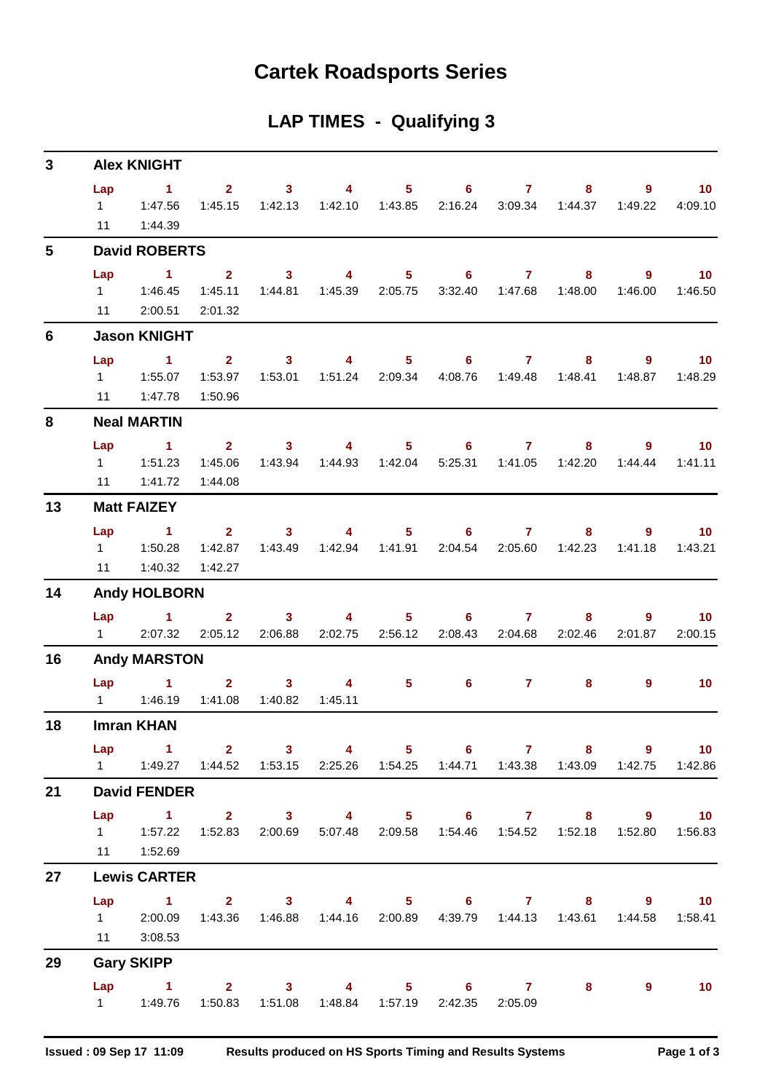## **Cartek Roadsports Series**

## **LAP TIMES - Qualifying 3**

| 3              |                        | <b>Alex KNIGHT</b>                                                                                                                     |                                    |                           |                                             |                          |                                                      |                                    |                                |                           |                            |
|----------------|------------------------|----------------------------------------------------------------------------------------------------------------------------------------|------------------------------------|---------------------------|---------------------------------------------|--------------------------|------------------------------------------------------|------------------------------------|--------------------------------|---------------------------|----------------------------|
|                | Lap<br>11              | $\sim$ 1.<br>$1 \t 1:47.56$<br>1:44.39                                                                                                 | $2^{\circ}$<br>1:45.15             | 3 <sup>1</sup><br>1:42.13 | $\overline{4}$                              | $5 -$                    | 6<br>2:16.24                                         | $\mathbf{7}$                       | 8<br>3:09.34 1:44.37           | $\overline{9}$<br>1:49.22 | 10 <sup>°</sup><br>4:09.10 |
| $5\phantom{1}$ |                        | <b>David ROBERTS</b>                                                                                                                   |                                    |                           |                                             |                          |                                                      |                                    |                                |                           |                            |
|                | Lap<br>$1 \quad$<br>11 | $\blacktriangleleft$<br>1:46.45<br>2:00.51                                                                                             | $\mathbf{2}$<br>1:45.11<br>2:01.32 | $\mathbf{3}$              | $\overline{4}$<br>1:44.81  1:45.39  2:05.75 | 5 <sup>1</sup>           | 6                                                    | $\mathbf{7}$                       | 8<br>3:32.40  1:47.68  1:48.00 | 9<br>1:46.00              | 10 <sup>°</sup><br>1:46.50 |
| 6              |                        | <b>Jason KNIGHT</b>                                                                                                                    |                                    |                           |                                             |                          |                                                      |                                    |                                |                           |                            |
|                | Lap                    | $\sim$ 1                                                                                                                               | $\overline{2}$                     | $\mathbf{3}$              | $\overline{4}$                              |                          | $5 \t\t 6$                                           | $\mathbf{7}$                       | 8                              | 9                         | $-10$                      |
|                | 11                     | 1:47.78                                                                                                                                | 1:53.97<br>1:50.96                 | 1:53.01                   | 1:51.24                                     | 2:09.34                  | 4:08.76                                              | 1:49.48                            | 1:48.41                        | 1:48.87                   | 1:48.29                    |
| 8              |                        | <b>Neal MARTIN</b>                                                                                                                     |                                    |                           |                                             |                          |                                                      |                                    |                                |                           |                            |
|                | Lap<br>11              | $\blacktriangleleft$<br>1 1:51.23<br>1:41.72                                                                                           | $2^{\circ}$<br>1:45.06<br>1:44.08  | 3 <sup>1</sup><br>1:43.94 | 4                                           | 5 <sup>1</sup>           | 6<br>5:25.31                                         | $\mathbf{7}$                       | 8                              | 9<br>1:44.44              | 10<br>1:41.11              |
| 13             |                        | <b>Matt FAIZEY</b>                                                                                                                     |                                    |                           |                                             |                          |                                                      |                                    |                                |                           |                            |
|                | Lap<br>11              | $\sim$ 1<br>1:40.32                                                                                                                    | $2^{\circ}$<br>1:42.87<br>1:42.27  | 3 <sup>1</sup><br>1:43.49 | $\overline{4}$                              |                          | $5 \t\t 6$<br>2:04.54                                | $\mathbf{7}$<br>2:05.60            | 8<br>1:42.23                   | 9<br>1:41.18              | 10<br>1:43.21              |
| 14             |                        | <b>Andy HOLBORN</b>                                                                                                                    |                                    |                           |                                             |                          |                                                      |                                    |                                |                           |                            |
|                | Lap                    | $\sim$ 1.<br>1 2:07.32                                                                                                                 | $\mathbf{2}$<br>2:05.12            | $\mathbf{3}$<br>2:06.88   | $\overline{4}$                              | $5 -$<br>2:02.75 2:56.12 | 6<br>2:08.43                                         | $\mathbf{7}$                       | 8<br>2:04.68 2:02.46           | $9^{\circ}$<br>2:01.87    | 10<br>2:00.15              |
| 16             |                        | <b>Andy MARSTON</b>                                                                                                                    |                                    |                           |                                             |                          |                                                      |                                    |                                |                           |                            |
|                | $1 \quad \Box$         | $Lap$ 1<br>1:46.19                                                                                                                     | $\overline{2}$<br>1:41.08          | $\mathbf{3}$<br>1:40.82   | 4<br>1:45.11                                | 5 <sup>1</sup>           | 6                                                    | $\sim$ $\sim$ $\sim$ $\sim$ $\sim$ | 8                              | $\overline{9}$            | 10 <sup>°</sup>            |
| 18             |                        | <b>Imran KHAN</b>                                                                                                                      |                                    |                           |                                             |                          |                                                      |                                    |                                |                           |                            |
|                |                        | Lap 1 2 3 4 5 6 7 8 9 10<br>1   1:49.27   1:44.52   1:53.15   2:25.26   1:54.25   1:44.71   1:43.38   1:43.09   1:42.75   1:42.86      |                                    |                           |                                             |                          |                                                      |                                    |                                |                           |                            |
| 21             |                        | <b>David FENDER</b>                                                                                                                    |                                    |                           |                                             |                          |                                                      |                                    |                                |                           |                            |
|                |                        | Lap 1 2 3 4 5 6 7 8 9 10<br>1   1:57.22   1:52.83   2:00.69   5:07.48   2:09.58   1:54.46   1:54.52   1:52.18   1:52.80<br>11  1:52.69 |                                    |                           |                                             |                          |                                                      |                                    |                                |                           | 1:56.83                    |
| 27             |                        | <b>Lewis CARTER</b>                                                                                                                    |                                    |                           |                                             |                          |                                                      |                                    |                                |                           |                            |
|                |                        | Lap 1 2 3 4 5 6 7 8 9 10<br>1 2:00.09 1:43.36 1:46.88 1:44.16 2:00.89 4:39.79 1:44.13 1:43.61 1:44.58<br>11 3:08.53                    |                                    |                           |                                             |                          |                                                      |                                    |                                |                           | 1:58.41                    |
| 29             |                        | <b>Gary SKIPP</b>                                                                                                                      |                                    |                           |                                             |                          |                                                      |                                    |                                |                           |                            |
|                |                        | Lap 1 2 3 4 5 6 7 8 9                                                                                                                  |                                    |                           |                                             |                          | 1:50.83  1:51.08  1:48.84  1:57.19  2:42.35  2:05.09 |                                    |                                |                           | $\blacksquare$ 10          |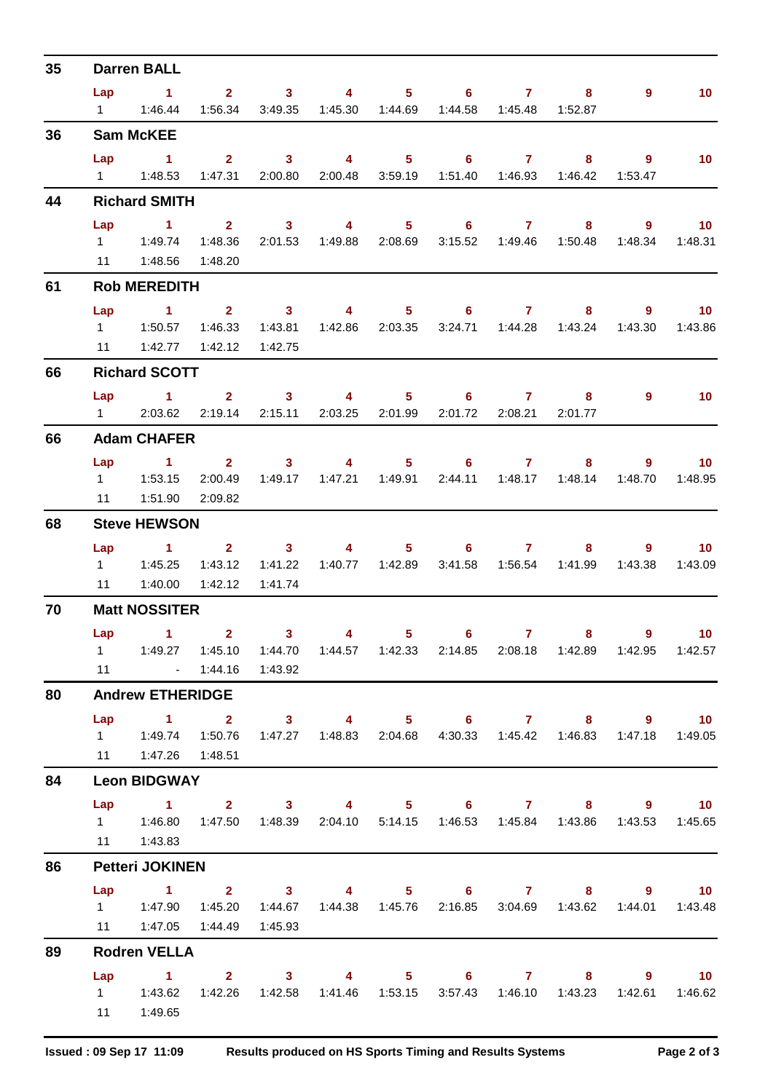| 35 |     | <b>Darren BALL</b>                                                                                                                |              |                |                |                            |                                                                        |              |                           |                            |                 |
|----|-----|-----------------------------------------------------------------------------------------------------------------------------------|--------------|----------------|----------------|----------------------------|------------------------------------------------------------------------|--------------|---------------------------|----------------------------|-----------------|
|    |     | Lap 1 2 3 4 5 6 7 8                                                                                                               |              |                |                |                            |                                                                        |              |                           | $\overline{9}$             | 10 <sup>°</sup> |
|    |     |                                                                                                                                   |              |                |                |                            | 1:56.34  3:49.35  1:45.30  1:44.69  1:44.58  1:45.48  1:52.87          |              |                           |                            |                 |
| 36 |     | <b>Sam McKEE</b>                                                                                                                  |              |                |                |                            |                                                                        |              |                           |                            |                 |
|    |     | Lap 1                                                                                                                             |              |                |                |                            | 2 3 4 5 6 7 8                                                          |              |                           | - 9                        | 10 <sup>°</sup> |
|    |     |                                                                                                                                   |              |                |                |                            | 1:47.31  2:00.80  2:00.48  3:59.19  1:51.40  1:46.93  1:46.42          |              |                           | 1:53.47                    |                 |
| 44 |     | <b>Richard SMITH</b>                                                                                                              |              |                |                |                            |                                                                        |              |                           |                            |                 |
|    | Lap | $\sim$ $\sim$ 1                                                                                                                   |              |                |                |                            | 2 3 4 5 6 7 8 9 10                                                     |              |                           |                            |                 |
|    |     | 1   1:49.74   1:48.36                                                                                                             |              |                |                |                            | 2:01.53  1:49.88  2:08.69  3:15.52  1:49.46  1:50.48  1:48.34  1:48.31 |              |                           |                            |                 |
|    |     | 11  1:48.56  1:48.20                                                                                                              |              |                |                |                            |                                                                        |              |                           |                            |                 |
| 61 |     | <b>Rob MEREDITH</b>                                                                                                               |              |                |                |                            |                                                                        |              |                           |                            |                 |
|    | Lap | 1 2 3 4 5 6 7 8 9 10                                                                                                              |              |                |                |                            |                                                                        |              |                           |                            |                 |
|    |     | 1   1:50.57   1:46.33   1:43.81                                                                                                   |              |                |                |                            | 1:42.86  2:03.35  3:24.71  1:44.28  1:43.24  1:43.30  1:43.86          |              |                           |                            |                 |
|    | 11  |                                                                                                                                   |              | 1:42.75        |                |                            |                                                                        |              |                           |                            |                 |
| 66 |     | <b>Richard SCOTT</b>                                                                                                              |              |                |                |                            |                                                                        |              |                           |                            |                 |
|    |     | Lap 1 2 3 4 5 6 7 8                                                                                                               |              |                |                |                            |                                                                        |              |                           | $\overline{9}$             | $\sim$ 10       |
|    |     | 1 2:03.62 2:19.14 2:15.11 2:03.25 2:01.99 2:01.72 2:08.21 2:01.77                                                                 |              |                |                |                            |                                                                        |              |                           |                            |                 |
| 66 |     | <b>Adam CHAFER</b>                                                                                                                |              |                |                |                            |                                                                        |              |                           |                            |                 |
|    |     | Lap 1 2 3 4 5 6 7 8 9 10                                                                                                          |              |                |                |                            |                                                                        |              |                           |                            |                 |
|    |     | 11.53.15                                                                                                                          | 2:00.49      |                |                |                            | 1:49.17  1:47.21  1:49.91  2:44.11  1:48.17  1:48.14                   |              |                           | 1:48.70                    | 1:48.95         |
|    | 11  | 1:51.90                                                                                                                           | 2:09.82      |                |                |                            |                                                                        |              |                           |                            |                 |
| 68 |     | <b>Steve HEWSON</b>                                                                                                               |              |                |                |                            |                                                                        |              |                           |                            |                 |
|    |     | Lap 1 2 3                                                                                                                         |              |                |                |                            | 4 5 6 7 8                                                              |              |                           | $\overline{\phantom{a}}$ 9 | 10 <sup>°</sup> |
|    |     |                                                                                                                                   |              |                |                |                            |                                                                        |              | 3:41.58  1:56.54  1:41.99 | 1:43.38                    | 1:43.09         |
|    |     | 11   1:40.00   1:42.12                                                                                                            |              | 1:41.74        |                |                            |                                                                        |              |                           |                            |                 |
| 70 |     | <b>Matt NOSSITER</b>                                                                                                              |              |                |                |                            |                                                                        |              |                           |                            |                 |
|    |     | Lap 1                                                                                                                             | $\mathbf{2}$ | 3 <sub>1</sub> | $\overline{4}$ | $\overline{\phantom{1}}$ 5 | 6 <sup>1</sup>                                                         | $\mathbf{7}$ | 8                         | $9^{\circ}$                | 10              |
|    |     | 1   1:49.27   1:45.10   1:44.70   1:44.57   1:42.33   2:14.85   2:08.18   1:42.89   1:42.95   1:42.57                             |              |                |                |                            |                                                                        |              |                           |                            |                 |
|    |     | 11 - 1:44.16 1:43.92                                                                                                              |              |                |                |                            |                                                                        |              |                           |                            |                 |
| 80 |     | <b>Andrew ETHERIDGE</b>                                                                                                           |              |                |                |                            |                                                                        |              |                           |                            |                 |
|    |     | Lap 1 2 3 4 5 6 7 8 9 10                                                                                                          |              |                |                |                            |                                                                        |              |                           |                            |                 |
|    |     | 1   1:49.74   1:50.76   1:47.27   1:48.83   2:04.68   4:30.33   1:45.42   1:46.83   1:47.18   1:49.05                             |              |                |                |                            |                                                                        |              |                           |                            |                 |
|    |     | 11  1:47.26  1:48.51                                                                                                              |              |                |                |                            |                                                                        |              |                           |                            |                 |
| 84 |     | <b>Leon BIDGWAY</b>                                                                                                               |              |                |                |                            |                                                                        |              |                           |                            |                 |
|    |     | Lap 1 2 3 4 5 6 7 8 9 10                                                                                                          |              |                |                |                            |                                                                        |              |                           |                            |                 |
|    |     | 1   1:46.80   1:47.50   1:48.39   2:04.10   5:14.15   1:46.53   1:45.84   1:43.86   1:43.53   1:45.65                             |              |                |                |                            |                                                                        |              |                           |                            |                 |
|    |     | 11  1:43.83                                                                                                                       |              |                |                |                            |                                                                        |              |                           |                            |                 |
| 86 |     | <b>Petteri JOKINEN</b>                                                                                                            |              |                |                |                            |                                                                        |              |                           |                            |                 |
|    |     | Lap 1 2 3 4 5 6 7 8 9 10                                                                                                          |              |                |                |                            |                                                                        |              |                           |                            |                 |
|    |     | 1   1:47.90   1:45.20   1:44.67   1:44.38   1:45.76   2:16.85   3:04.69   1:43.62   1:44.01   1:43.48                             |              |                |                |                            |                                                                        |              |                           |                            |                 |
|    |     | 11  1:47.05  1:44.49  1:45.93                                                                                                     |              |                |                |                            |                                                                        |              |                           |                            |                 |
| 89 |     | <b>Rodren VELLA</b>                                                                                                               |              |                |                |                            |                                                                        |              |                           |                            |                 |
|    |     | Lap 1 2 3 4 5 6 7 8 9 10<br>1   1:43.62   1:42.26   1:42.58   1:41.46   1:53.15   3:57.43   1:46.10   1:43.23   1:42.61   1:46.62 |              |                |                |                            |                                                                        |              |                           |                            |                 |
|    |     | 11  1:49.65                                                                                                                       |              |                |                |                            |                                                                        |              |                           |                            |                 |
|    |     |                                                                                                                                   |              |                |                |                            |                                                                        |              |                           |                            |                 |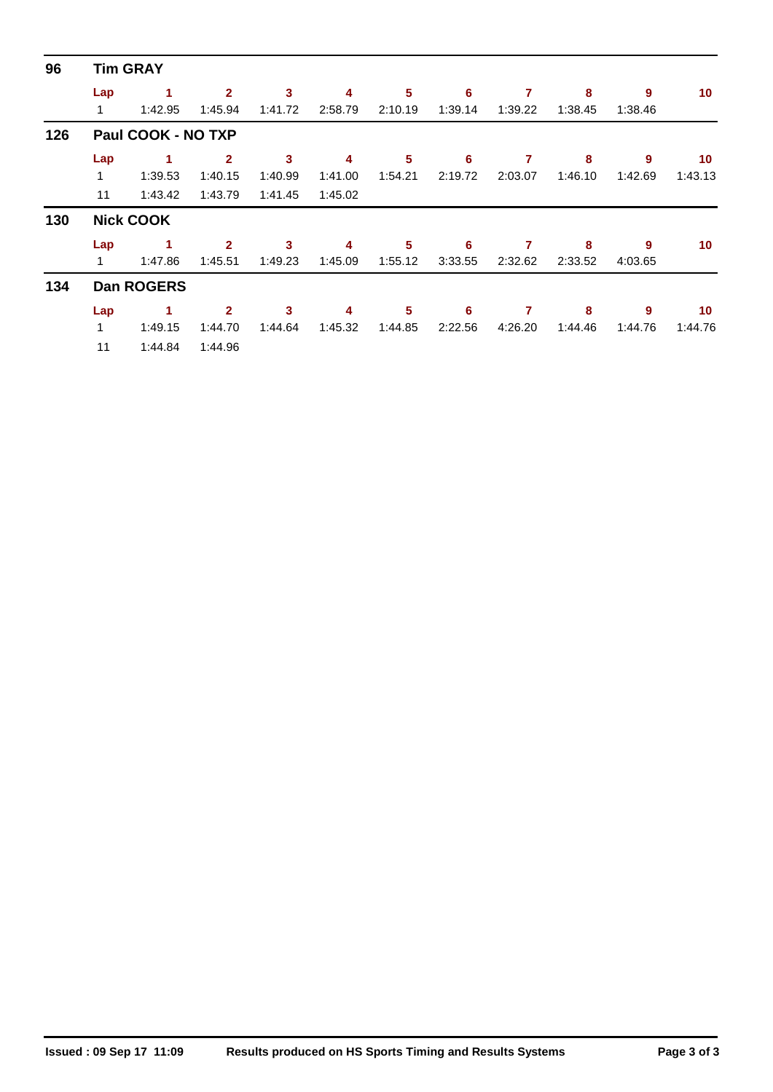| 96  |          | <b>Tim GRAY</b>    |                           |              |              |              |              |              |              |              |         |
|-----|----------|--------------------|---------------------------|--------------|--------------|--------------|--------------|--------------|--------------|--------------|---------|
|     | Lap<br>1 | 1<br>1:42.95       | $\overline{2}$<br>1:45.94 | 3<br>1:41.72 | 4<br>2:58.79 | 5<br>2:10.19 | 6<br>1:39.14 | 7<br>1:39.22 | 8<br>1:38.45 | 9<br>1:38.46 | 10      |
| 126 |          | Paul COOK - NO TXP |                           |              |              |              |              |              |              |              |         |
|     | Lap      |                    | $\mathbf{2}$              | 3            | 4            | $\sqrt{5}$   | 6            | 7            | 8            | 9            | 10      |
|     | 1        | 1:39.53            | 1:40.15                   | 1:40.99      | 1:41.00      | 1:54.21      | 2:19.72      | 2:03.07      | 1:46.10      | 1:42.69      | 1:43.13 |
|     | 11       | 1:43.42            | 1:43.79                   | 1:41.45      | 1:45.02      |              |              |              |              |              |         |
| 130 |          | <b>Nick COOK</b>   |                           |              |              |              |              |              |              |              |         |
|     | Lap      |                    | $\overline{2}$            | 3            | 4            | 5            | 6            |              | 8            | 9            | 10      |
|     | 1.       | 1:47.86            | 1:45.51                   | 1:49.23      | 1:45.09      | 1:55.12      | 3:33.55      | 2:32.62      | 2:33.52      | 4:03.65      |         |
| 134 |          | <b>Dan ROGERS</b>  |                           |              |              |              |              |              |              |              |         |
|     | Lap      |                    | $\mathbf{2}$              | 3            | 4            | 5            | 6            | 7            | 8            | 9            | 10      |
|     | 1        | 1:49.15            | 1:44.70                   | 1:44.64      | 1:45.32      | 1:44.85      | 2:22.56      | 4:26.20      | 1:44.46      | 1:44.76      | 1:44.76 |
|     | 11       | 1:44.84            | 1:44.96                   |              |              |              |              |              |              |              |         |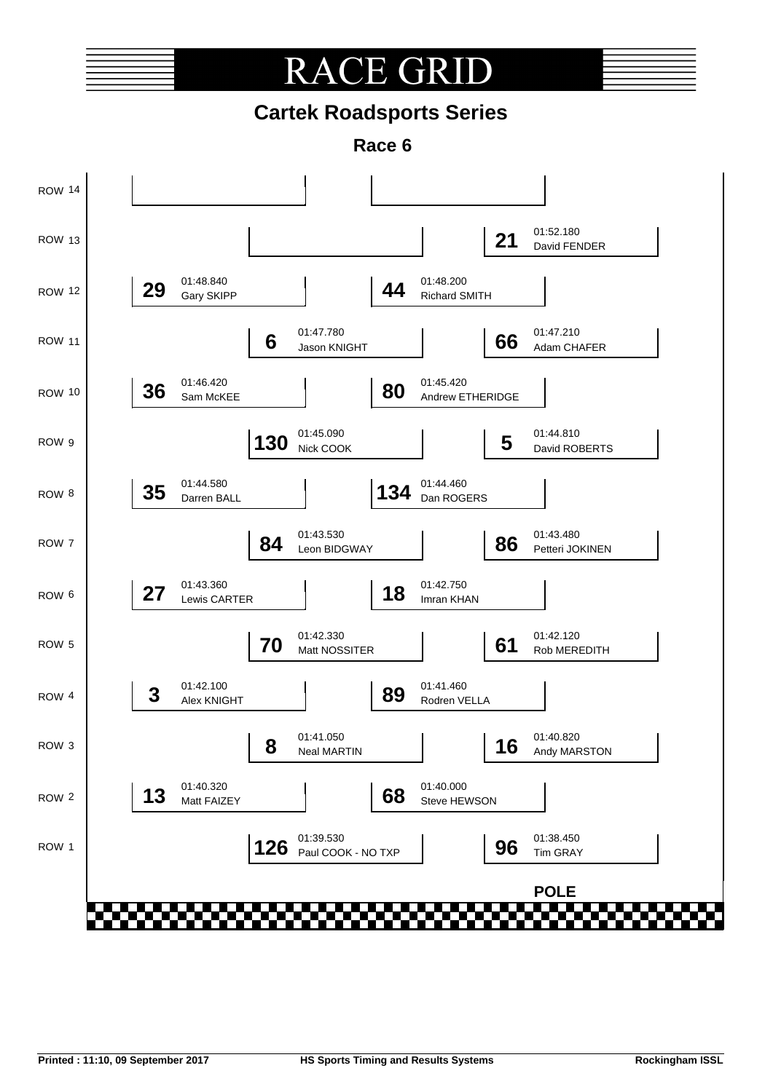### CE GR RA  $\sqrt{ }$

## **Cartek Roadsports Series**

**Race 6**

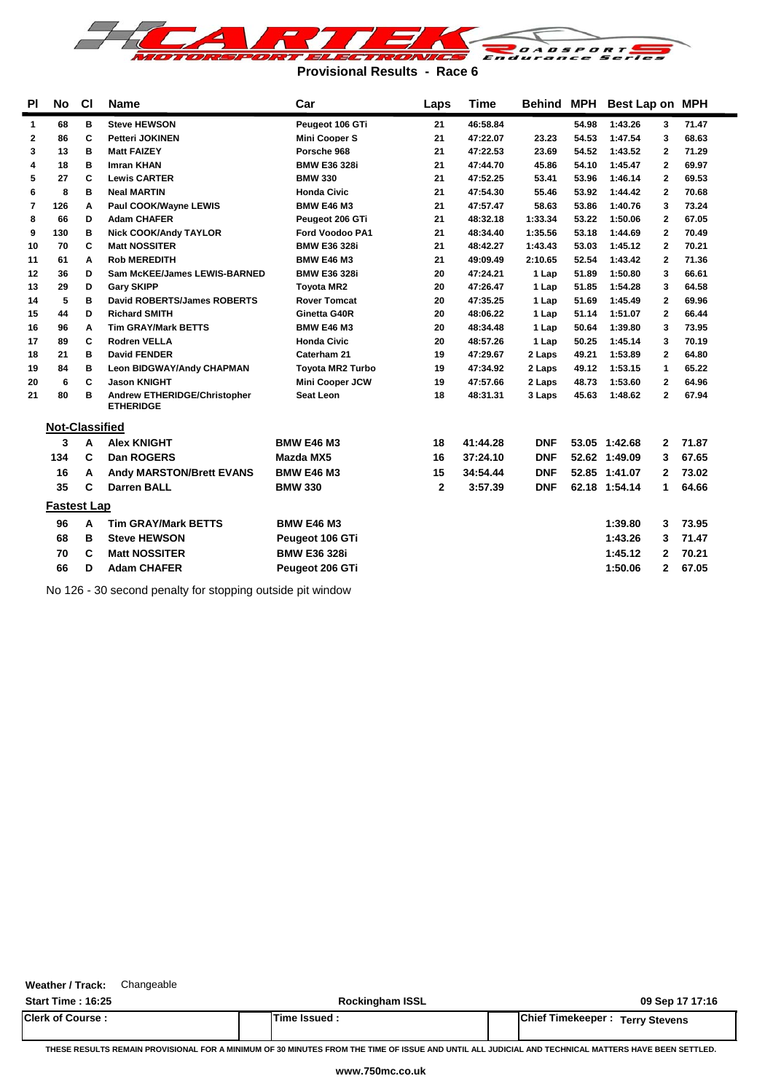

**Provisional Results - Race 6**

| <b>PI</b>    | No                    | <b>CI</b> | <b>Name</b>                                      | Car                     | Laps         | Time     | Behind MPH |       | Best Lap on MPH |              |       |  |
|--------------|-----------------------|-----------|--------------------------------------------------|-------------------------|--------------|----------|------------|-------|-----------------|--------------|-------|--|
| $\mathbf{1}$ | 68                    | в         | <b>Steve HEWSON</b>                              | Peugeot 106 GTi         | 21           | 46:58.84 |            | 54.98 | 1:43.26         | 3            | 71.47 |  |
| 2            | 86                    | C         | <b>Petteri JOKINEN</b>                           | <b>Mini Cooper S</b>    | 21           | 47:22.07 | 23.23      | 54.53 | 1:47.54         | 3            | 68.63 |  |
| 3            | 13                    | B         | <b>Matt FAIZEY</b>                               | Porsche 968             | 21           | 47:22.53 | 23.69      | 54.52 | 1:43.52         | 2            | 71.29 |  |
| 4            | 18                    | в         | <b>Imran KHAN</b>                                | <b>BMW E36 328i</b>     | 21           | 47:44.70 | 45.86      | 54.10 | 1:45.47         | 2            | 69.97 |  |
| 5            | 27                    | C         | <b>Lewis CARTER</b>                              | <b>BMW 330</b>          | 21           | 47:52.25 | 53.41      | 53.96 | 1:46.14         | 2            | 69.53 |  |
| 6            | 8                     | в         | <b>Neal MARTIN</b>                               | Honda Civic             | 21           | 47:54.30 | 55.46      | 53.92 | 1:44.42         | 2            | 70.68 |  |
| 7            | 126                   | A         | Paul COOK/Wayne LEWIS                            | <b>BMW E46 M3</b>       | 21           | 47:57.47 | 58.63      | 53.86 | 1:40.76         | 3            | 73.24 |  |
| 8            | 66                    | D         | <b>Adam CHAFER</b>                               | Peugeot 206 GTi         | 21           | 48:32.18 | 1:33.34    | 53.22 | 1:50.06         | $\mathbf{2}$ | 67.05 |  |
| 9            | 130                   | в         | <b>Nick COOK/Andy TAYLOR</b>                     | <b>Ford Voodoo PA1</b>  | 21           | 48:34.40 | 1:35.56    | 53.18 | 1:44.69         | $\mathbf{2}$ | 70.49 |  |
| 10           | 70                    | C         | <b>Matt NOSSITER</b>                             | <b>BMW E36 328i</b>     | 21           | 48:42.27 | 1:43.43    | 53.03 | 1:45.12         | $\mathbf{2}$ | 70.21 |  |
| 11           | 61                    | A         | <b>Rob MEREDITH</b>                              | <b>BMW E46 M3</b>       | 21           | 49:09.49 | 2:10.65    | 52.54 | 1:43.42         | $\mathbf{2}$ | 71.36 |  |
| 12           | 36                    | D         | <b>Sam McKEE/James LEWIS-BARNED</b>              | <b>BMW E36 328i</b>     | 20           | 47:24.21 | 1 Lap      | 51.89 | 1:50.80         | 3            | 66.61 |  |
| 13           | 29                    | D         | <b>Gary SKIPP</b>                                | <b>Toyota MR2</b>       | 20           | 47:26.47 | 1 Lap      | 51.85 | 1:54.28         | 3            | 64.58 |  |
| 14           | 5                     | в         | <b>David ROBERTS/James ROBERTS</b>               | <b>Rover Tomcat</b>     | 20           | 47:35.25 | 1 Lap      | 51.69 | 1:45.49         | $\mathbf{2}$ | 69.96 |  |
| 15           | 44                    | D         | <b>Richard SMITH</b>                             | Ginetta G40R            | 20           | 48:06.22 | 1 Lap      | 51.14 | 1:51.07         | $\mathbf{2}$ | 66.44 |  |
| 16           | 96                    | A         | <b>Tim GRAY/Mark BETTS</b>                       | <b>BMW E46 M3</b>       | 20           | 48:34.48 | 1 Lap      | 50.64 | 1:39.80         | 3            | 73.95 |  |
| 17           | 89                    | C         | <b>Rodren VELLA</b>                              | <b>Honda Civic</b>      | 20           | 48:57.26 | 1 Lap      | 50.25 | 1:45.14         | 3            | 70.19 |  |
| 18           | 21                    | B         | <b>David FENDER</b>                              | Caterham 21             | 19           | 47:29.67 | 2 Laps     | 49.21 | 1:53.89         | $\mathbf{2}$ | 64.80 |  |
| 19           | 84                    | B         | <b>Leon BIDGWAY/Andy CHAPMAN</b>                 | <b>Toyota MR2 Turbo</b> | 19           | 47:34.92 | 2 Laps     | 49.12 | 1:53.15         | 1            | 65.22 |  |
| 20           | 6                     | C         | <b>Jason KNIGHT</b>                              | Mini Cooper JCW         | 19           | 47:57.66 | 2 Laps     | 48.73 | 1:53.60         | 2            | 64.96 |  |
| 21           | 80                    | в         | Andrew ETHERIDGE/Christopher<br><b>ETHERIDGE</b> | Seat Leon               | 18           | 48:31.31 | 3 Laps     | 45.63 | 1:48.62         | $\mathbf{2}$ | 67.94 |  |
|              | <b>Not-Classified</b> |           |                                                  |                         |              |          |            |       |                 |              |       |  |
|              | 3                     | A         | <b>Alex KNIGHT</b>                               | <b>BMW E46 M3</b>       | 18           | 41:44.28 | <b>DNF</b> |       | 53.05 1:42.68   | $\mathbf{2}$ | 71.87 |  |
|              | 134                   | C         | Dan ROGERS                                       | <b>Mazda MX5</b>        | 16           | 37:24.10 | <b>DNF</b> |       | 52.62 1:49.09   | 3            | 67.65 |  |
|              | 16                    | A         | <b>Andy MARSTON/Brett EVANS</b>                  | <b>BMW E46 M3</b>       | 15           | 34:54.44 | <b>DNF</b> |       | 52.85 1:41.07   | 2            | 73.02 |  |
|              | 35                    | C         | <b>Darren BALL</b>                               | <b>BMW 330</b>          | $\mathbf{2}$ | 3:57.39  | <b>DNF</b> |       | 62.18 1:54.14   | 1            | 64.66 |  |
|              | <b>Fastest Lap</b>    |           |                                                  |                         |              |          |            |       |                 |              |       |  |
|              | 96                    | A         | <b>Tim GRAY/Mark BETTS</b>                       | <b>BMW E46 M3</b>       |              |          |            |       | 1:39.80         | 3            | 73.95 |  |
|              | 68                    | в         | <b>Steve HEWSON</b>                              | Peugeot 106 GTi         |              |          |            |       | 1:43.26         | 3            | 71.47 |  |
|              | 70                    | C         | <b>Matt NOSSITER</b>                             | <b>BMW E36 328i</b>     |              |          |            |       | 1:45.12         | 2            | 70.21 |  |
|              | 66                    | D         | <b>Adam CHAFER</b>                               | Peugeot 206 GTi         |              |          |            |       | 1:50.06         | $\mathbf{2}$ | 67.05 |  |
|              |                       |           |                                                  |                         |              |          |            |       |                 |              |       |  |

No 126 - 30 second penalty for stopping outside pit window

**Weather / Track:** Changeable

**Start Time : 16:25 Rockingham ISSL 09 Sep 17 17:16 Clerk of Course : Time Issued : Chief Timekeeper : Terry Stevens**

**THESE RESULTS REMAIN PROVISIONAL FOR A MINIMUM OF 30 MINUTES FROM THE TIME OF ISSUE AND UNTIL ALL JUDICIAL AND TECHNICAL MATTERS HAVE BEEN SETTLED.**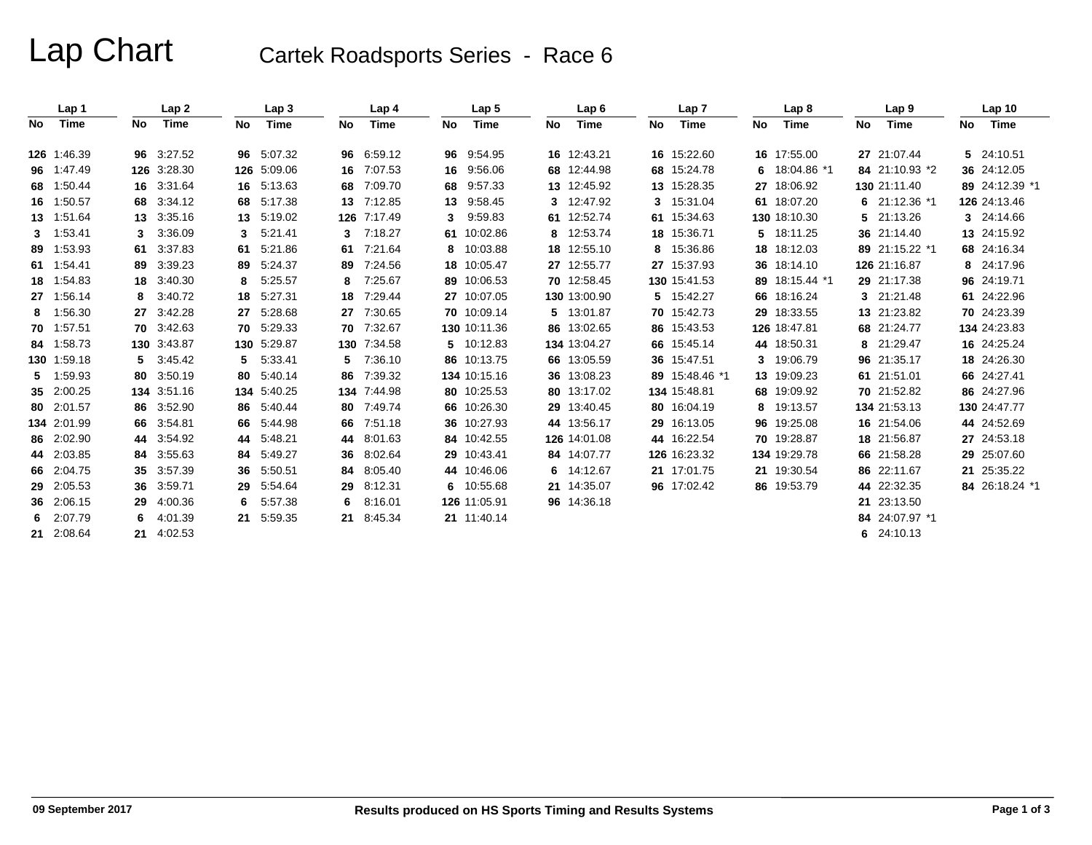# Lap Chart Cartek Roadsports Series - Race 6

|     | Lap 1       |    | Lap2        |    | Lap <sub>3</sub> |     | Lap 4       |    | Lap <sub>5</sub> |    | Lap6         |    | Lap <sub>7</sub> |    | Lap 8          |    | Lap 9           |    | Lap <sub>10</sub> |
|-----|-------------|----|-------------|----|------------------|-----|-------------|----|------------------|----|--------------|----|------------------|----|----------------|----|-----------------|----|-------------------|
| No. | Time        | No | Time        | No | Time             | No. | Time        | No | Time             | No | Time         | No | Time             | No | Time           | No | Time            | No | Time              |
|     | 126 1:46.39 |    | 96 3:27.52  |    | 96 5:07.32       | 96  | 6:59.12     |    | 96 9:54.95       |    | 16 12:43.21  |    | 16 15:22.60      |    | 16 17:55.00    |    | 27 21:07.44     |    | 5 24:10.51        |
|     | 96 1:47.49  |    | 126 3:28.30 |    | 126 5:09.06      | 16  | 7:07.53     | 16 | 9:56.06          |    | 68 12:44.98  |    | 68 15:24.78      |    | 6 18:04.86 *1  |    | 84 21:10.93 *2  |    | 36 24:12.05       |
|     | 68 1:50.44  |    | 16 3:31.64  | 16 | 5:13.63          | 68  | 7:09.70     | 68 | 9:57.33          |    | 13 12:45.92  |    | 13 15:28.35      |    | 27 18:06.92    |    | 130 21:11.40    |    | 89 24:12.39 *1    |
|     | 16 1:50.57  |    | 68 3:34.12  |    | 68 5:17.38       | 13  | 7:12.85     |    | 13 9:58.45       |    | 3 12:47.92   |    | 3 15:31.04       |    | 61 18:07.20    |    | 6 $21:12.36$ *1 |    | 126 24:13.46      |
|     | 13 1:51.64  |    | 13 3:35.16  | 13 | 5:19.02          | 126 | 7:17.49     | 3  | 9:59.83          |    | 61 12:52.74  |    | 61 15:34.63      |    | 130 18:10.30   | 5. | 21:13.26        |    | 3 24:14.66        |
|     | 3 1:53.41   | 3. | 3:36.09     | 3  | 5:21.41          | 3   | 7:18.27     |    | 61 10:02.86      |    | 8 12:53.74   |    | 18 15:36.71      |    | 5 18:11.25     |    | 36 21:14.40     |    | 13 24:15.92       |
|     | 89 1:53.93  | 61 | 3:37.83     | 61 | 5:21.86          | 61  | 7:21.64     |    | 8 10:03.88       |    | 18 12:55.10  |    | 8 15:36.86       |    | 18 18:12.03    |    | 89 21:15.22 *1  |    | 68 24:16.34       |
|     | 61 1:54.41  |    | 89 3:39.23  | 89 | 5:24.37          | 89  | 7:24.56     |    | 18 10:05.47      |    | 27 12:55.77  |    | 27 15:37.93      |    | 36 18:14.10    |    | 126 21:16.87    |    | 8 24:17.96        |
|     | 18 1:54.83  |    | 18 3:40.30  | 8  | 5:25.57          | 8   | 7:25.67     |    | 89 10:06.53      |    | 70 12:58.45  |    | 130 15:41.53     |    | 89 18:15.44 *1 |    | 29 21:17.38     |    | 96 24:19.71       |
|     | 27 1:56.14  | 8  | 3:40.72     | 18 | 5:27.31          | 18  | 7:29.44     |    | 27 10:07.05      |    | 130 13:00.90 |    | 5 15:42.27       |    | 66 18:16.24    |    | 3 21:21.48      |    | 61 24:22.96       |
|     | 8 1:56.30   |    | 27 3:42.28  | 27 | 5:28.68          | 27  | 7:30.65     |    | 70 10:09.14      |    | 5 13:01.87   |    | 70 15:42.73      |    | 29 18:33.55    |    | 13 21:23.82     |    | 70 24:23.39       |
|     | 70 1:57.51  |    | 70 3:42.63  | 70 | 5:29.33          | 70  | 7:32.67     |    | 130 10:11.36     |    | 86 13:02.65  |    | 86 15:43.53      |    | 126 18:47.81   |    | 68 21:24.77     |    | 134 24:23.83      |
|     | 84 1:58.73  |    | 130 3:43.87 |    | 130 5:29.87      |     | 130 7:34.58 |    | 5 10:12.83       |    | 134 13:04.27 |    | 66 15:45.14      |    | 44 18:50.31    | 8  | 21:29.47        |    | 16 24:25.24       |
|     | 130 1:59.18 |    | 5 3:45.42   | 5. | 5:33.41          | 5.  | 7:36.10     |    | 86 10:13.75      |    | 66 13:05.59  |    | 36 15:47.51      |    | 3 19:06.79     |    | 96 21:35.17     |    | 18 24:26.30       |
|     | 5 1:59.93   |    | 80 3:50.19  | 80 | 5:40.14          | 86  | 7:39.32     |    | 134 10:15.16     |    | 36 13:08.23  |    | 89 15:48.46 *1   |    | 13 19:09.23    |    | 61 21:51.01     |    | 66 24:27.41       |
|     | 35 2:00.25  |    | 134 3:51.16 |    | 134 5:40.25      | 134 | 7:44.98     |    | 80 10:25.53      |    | 80 13:17.02  |    | 134 15:48.81     |    | 68 19:09.92    |    | 70 21:52.82     |    | 86 24:27.96       |
|     | 80 2:01.57  |    | 86 3:52.90  | 86 | 5:40.44          | 80  | 7:49.74     |    | 66 10:26.30      |    | 29 13:40.45  |    | 80 16:04.19      |    | 8 19:13.57     |    | 134 21:53.13    |    | 130 24:47.77      |
|     | 134 2:01.99 |    | 66 3:54.81  | 66 | 5:44.98          | 66  | 7:51.18     |    | 36 10:27.93      |    | 44 13:56.17  |    | 29 16:13.05      |    | 96 19:25.08    |    | 16 21:54.06     |    | 44 24:52.69       |
|     | 86 2:02.90  |    | 44 3:54.92  | 44 | 5:48.21          | 44  | 8:01.63     |    | 84 10:42.55      |    | 126 14:01.08 |    | 44 16:22.54      |    | 70 19:28.87    |    | 18 21:56.87     |    | 27 24:53.18       |
|     | 44 2:03.85  |    | 84 3:55.63  | 84 | 5:49.27          | 36  | 8:02.64     |    | 29 10:43.41      |    | 84 14:07.77  |    | 126 16:23.32     |    | 134 19:29.78   |    | 66 21:58.28     |    | 29 25:07.60       |
|     | 66 2:04.75  |    | 35 3:57.39  | 36 | 5.50.51          | 84  | 8:05.40     |    | 44 10:46.06      |    | 6 14:12.67   |    | 21 17:01.75      |    | 21 19:30.54    |    | 86 22:11.67     |    | 21 25:35.22       |
|     | 29 2:05.53  |    | 36 3:59.71  | 29 | 5.54.64          | 29  | 8:12.31     |    | 6 10:55.68       |    | 21 14:35.07  |    | 96 17:02.42      |    | 86 19:53.79    | 44 | 22:32.35        |    | 84 26:18.24 *1    |
|     | 36 2:06.15  |    | 29 4:00.36  | 6. | 5:57.38          | 6   | 8:16.01     |    | 126 11:05.91     |    | 96 14:36.18  |    |                  |    |                | 21 | 23:13.50        |    |                   |
|     | 6 2:07.79   | 6. | 4:01.39     | 21 | 5:59.35          | 21  | 8:45.34     |    | 21 11:40.14      |    |              |    |                  |    |                | 84 | 24:07.97 *1     |    |                   |
|     | 21 2:08.64  |    | 21 4:02.53  |    |                  |     |             |    |                  |    |              |    |                  |    |                |    | 6 24:10.13      |    |                   |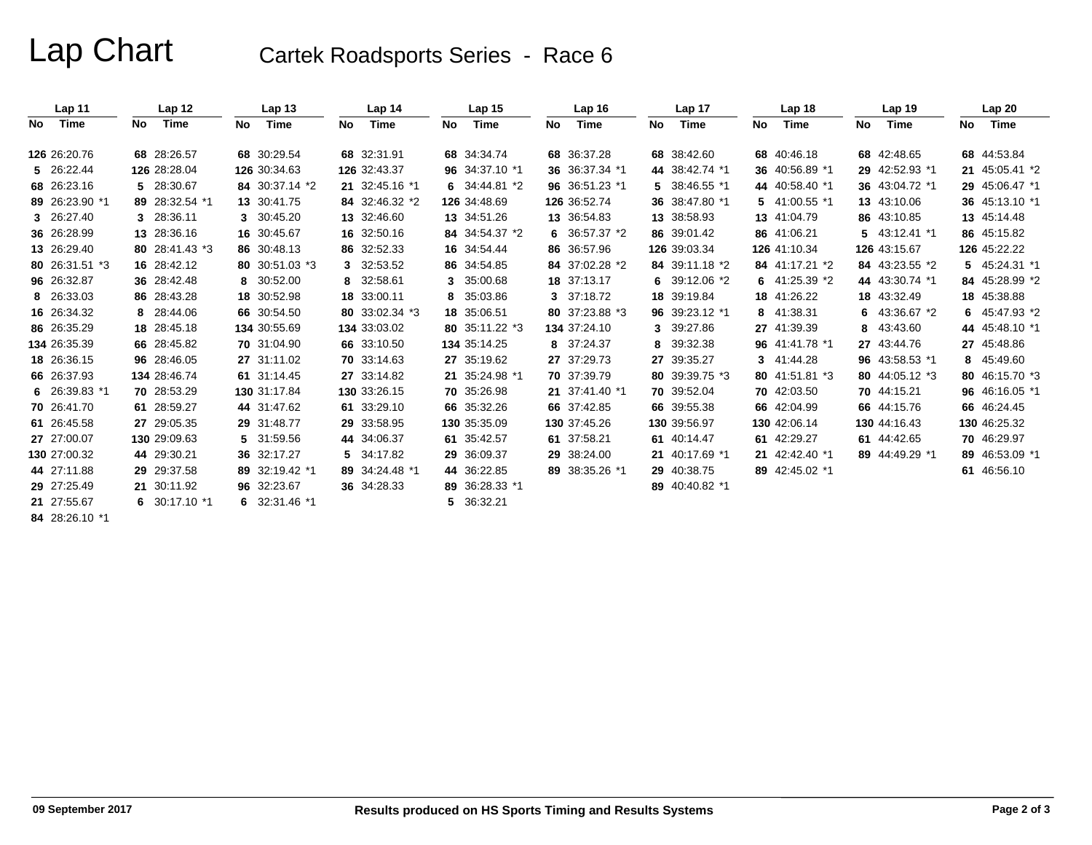## Lap Chart Cartek Roadsports Series - Race 6

|      | Lap <sub>11</sub> |    | Lap <sub>12</sub> |    | Lap <sub>13</sub> |    | Lap 14         |    | Lap <sub>15</sub> |    | Lap <sub>16</sub> |     | Lap <sub>17</sub> |    | Lap 18         |     | Lap 19         |     | Lap20          |
|------|-------------------|----|-------------------|----|-------------------|----|----------------|----|-------------------|----|-------------------|-----|-------------------|----|----------------|-----|----------------|-----|----------------|
| No l | Time              | No | Time              | No | Time              | No | Time           | No | Time              | No | Time              | No. | Time              | No | Time           | No. | Time           | No. | Time           |
|      | 126 26:20.76      |    | 68 28:26.57       |    | 68 30:29.54       |    | 68 32:31.91    |    | 68 34:34.74       |    | 68 36:37.28       |     | 68 38:42.60       |    | 68 40:46.18    |     | 68 42:48.65    |     | 68 44:53.84    |
|      | 5 26:22.44        |    | 126 28:28.04      |    | 126 30:34.63      |    | 126 32:43.37   |    | 96 34:37.10 *1    |    | 36 36:37.34 *1    |     | 44 38:42.74 *1    |    | 36 40:56.89 *1 |     | 29 42:52.93 *1 |     | 21 45:05.41 *2 |
|      | 68 26:23.16       |    | 5 28:30.67        |    | 84 30:37.14 *2    |    | 21 32:45.16 *1 |    | 6 34:44.81 *2     |    | 96 36:51.23 *1    |     | 5 38:46.55 *1     |    | 44 40:58.40 *1 |     | 36 43:04.72 *1 |     | 29 45:06.47 *1 |
|      | 89 26:23.90 *1    |    | 89 28:32.54 *1    |    | 13 30:41.75       |    | 84 32:46.32 *2 |    | 126 34:48.69      |    | 126 36:52.74      |     | 36 38:47.80 *1    |    | 5 41:00.55 *1  |     | 13 43:10.06    |     | 36 45:13.10 *1 |
|      | 3 26:27.40        |    | 3 28:36.11        |    | 3 30:45.20        |    | 13 32:46.60    |    | 13 34:51.26       |    | 13 36:54.83       |     | 13 38:58.93       |    | 13 41:04.79    |     | 86 43:10.85    |     | 13 45:14.48    |
|      | 36 26:28.99       |    | 13 28:36.16       |    | 16 30:45.67       |    | 16 32:50.16    |    | 84 34:54.37 *2    |    | 6 36:57.37 $*2$   |     | 86 39:01.42       |    | 86 41:06.21    |     | 5 43:12.41 *1  |     | 86 45:15.82    |
|      | 13 26:29.40       |    | 80 28:41.43 *3    |    | 86 30:48.13       |    | 86 32:52.33    |    | 16 34:54.44       |    | 86 36:57.96       |     | 126 39:03.34      |    | 126 41:10.34   |     | 126 43:15.67   |     | 126 45:22.22   |
|      | 80 26:31.51 *3    |    | 16 28:42.12       |    | 80 30:51.03 *3    |    | 3 32:53.52     |    | 86 34:54.85       |    | 84 37:02.28 *2    |     | 84 39:11.18 *2    |    | 84 41:17.21 *2 |     | 84 43:23.55 *2 |     | 5 45:24.31 *1  |
|      | 96 26:32.87       |    | 36 28:42.48       |    | 8 30:52.00        |    | 8 32:58.61     |    | 3 35:00.68        |    | 18 37:13.17       |     | 6 $39:12.06*2$    |    | 6 $41:25.39*2$ |     | 44 43:30.74 *1 |     | 84 45:28.99 *2 |
|      | 8 26:33.03        |    | 86 28:43.28       |    | 18 30:52.98       |    | 18 33:00.11    |    | 8 35:03.86        |    | 3 37:18.72        |     | 18 39:19.84       |    | 18 41:26.22    |     | 18 43:32.49    |     | 18 45:38.88    |
|      | 16 26:34.32       |    | 8 28:44.06        |    | 66 30:54.50       |    | 80 33:02.34 *3 |    | 18 35:06.51       |    | 80 37:23.88 *3    |     | 96 39:23.12 *1    |    | 8 41:38.31     | 6.  | 43:36.67 *2    |     | 6 45:47.93 *2  |
|      | 86 26:35.29       |    | 18 28:45.18       |    | 134 30:55.69      |    | 134 33:03.02   |    | 80 35:11.22 *3    |    | 134 37:24.10      |     | 3 39:27.86        |    | 27 41:39.39    | 8   | 43:43.60       |     | 44 45:48.10 *1 |
|      | 134 26:35.39      |    | 66 28:45.82       |    | 70 31:04.90       |    | 66 33:10.50    |    | 134 35:14.25      |    | 8 37:24.37        |     | 8 39:32.38        |    | 96 41:41.78 *1 |     | 27 43:44.76    |     | 27 45:48.86    |
|      | 18 26:36.15       |    | 96 28:46.05       |    | 27 31:11.02       |    | 70 33:14.63    |    | 27 35:19.62       |    | 27 37:29.73       |     | 27 39:35.27       |    | 3 41:44.28     |     | 96 43:58.53 *1 |     | 8 45:49.60     |
|      | 66 26:37.93       |    | 134 28:46.74      |    | 61 31:14.45       |    | 27 33:14.82    |    | 21 35:24.98 *1    |    | 70 37:39.79       |     | 80 39:39.75 *3    |    | 80 41:51.81 *3 |     | 80 44:05.12 *3 |     | 80 46:15.70 *3 |
|      | 6 26:39.83 *1     |    | 70 28:53.29       |    | 130 31:17.84      |    | 130 33:26.15   |    | 70 35:26.98       |    | 21 37:41.40 *1    |     | 70 39:52.04       |    | 70 42:03.50    |     | 70 44:15.21    |     | 96 46:16.05 *1 |
|      | 70 26:41.70       |    | 61 28:59.27       |    | 44 31:47.62       |    | 61 33:29.10    |    | 66 35:32.26       |    | 66 37:42.85       |     | 66 39:55.38       |    | 66 42:04.99    |     | 66 44:15.76    |     | 66 46:24.45    |
|      | 61 26:45.58       |    | 27 29:05.35       |    | 29 31:48.77       |    | 29 33:58.95    |    | 130 35:35.09      |    | 130 37:45.26      |     | 130 39:56.97      |    | 130 42:06.14   |     | 130 44:16.43   |     | 130 46:25.32   |
|      | 27 27:00.07       |    | 130 29:09.63      |    | 5 31:59.56        |    | 44 34:06.37    |    | 61 35:42.57       |    | 61 37:58.21       |     | 61 40:14.47       |    | 61 42:29.27    |     | 61 44:42.65    |     | 70 46:29.97    |
|      | 130 27:00.32      |    | 44 29:30.21       |    | 36 32:17.27       |    | 5 34:17.82     |    | 29 36:09.37       |    | 29 38:24.00       |     | 21 40:17.69 *1    |    | 21 42:42.40 *1 |     | 89 44:49.29 *1 |     | 89 46:53.09 *1 |
|      | 44 27:11.88       |    | 29 29:37.58       |    | 89 32:19.42 *1    |    | 89 34:24.48 *1 |    | 44 36:22.85       |    | 89 38:35.26 *1    |     | 29 40:38.75       |    | 89 42:45.02 *1 |     |                |     | 61 46:56.10    |
|      | 29 27:25.49       |    | 21 30:11.92       |    | 96 32:23.67       |    | 36 34:28.33    |    | 89 36:28.33 *1    |    |                   |     | 89 40:40.82 *1    |    |                |     |                |     |                |
|      | 21 27:55.67       |    | 6 30:17.10 $*1$   |    | 6 $32:31.46*1$    |    |                |    | 5 36:32.21        |    |                   |     |                   |    |                |     |                |     |                |
|      | 84 28:26.10 *1    |    |                   |    |                   |    |                |    |                   |    |                   |     |                   |    |                |     |                |     |                |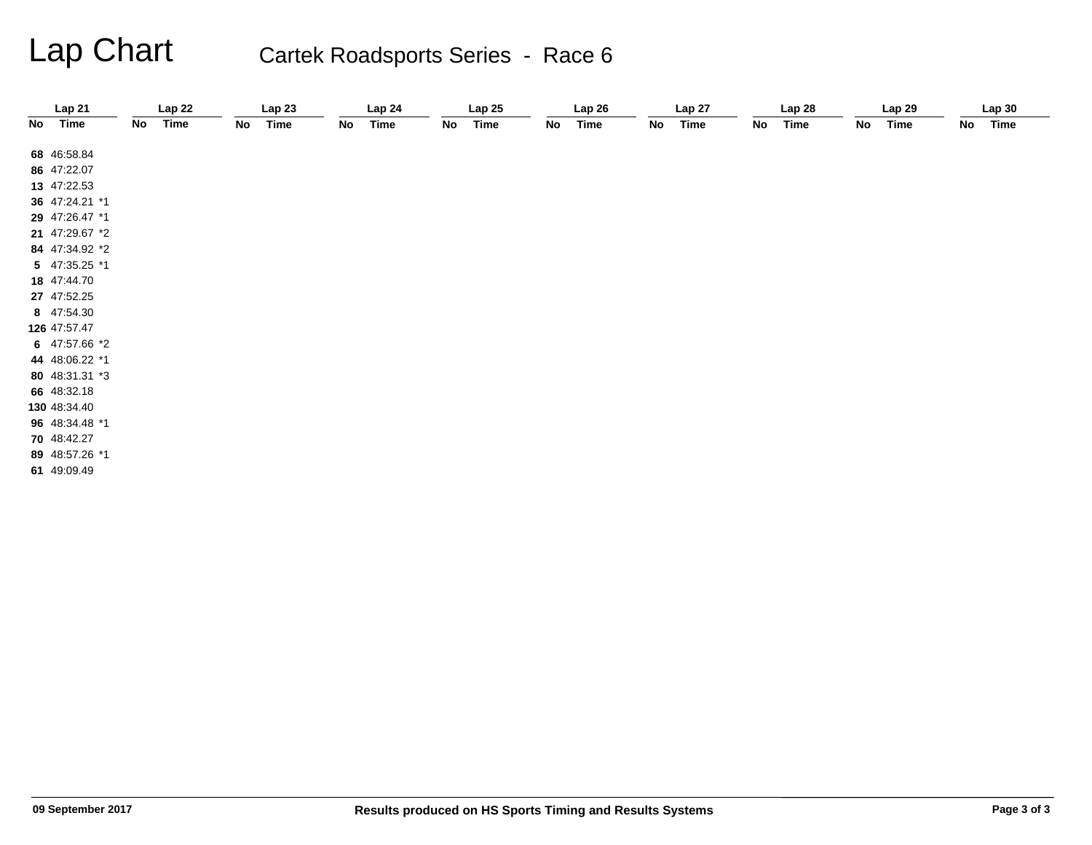# Lap Chart Cartek Roadsports Series - Race 6

|    | Lap 21         |    | Lap22       |    | Lap23       |    | Lap 24      |    | Lap25       |    | Lap26 |    | Lap 27      |    | Lap 28      |    | Lap 29      |    | Lap30       |
|----|----------------|----|-------------|----|-------------|----|-------------|----|-------------|----|-------|----|-------------|----|-------------|----|-------------|----|-------------|
| No | <b>Time</b>    | No | <b>Time</b> | No | <b>Time</b> | No | <b>Time</b> | No | <b>Time</b> | No | Time  | No | <b>Time</b> | No | <b>Time</b> | No | <b>Time</b> | No | <b>Time</b> |
|    |                |    |             |    |             |    |             |    |             |    |       |    |             |    |             |    |             |    |             |
|    | 68 46:58.84    |    |             |    |             |    |             |    |             |    |       |    |             |    |             |    |             |    |             |
|    | 86 47:22.07    |    |             |    |             |    |             |    |             |    |       |    |             |    |             |    |             |    |             |
|    | 13 47:22.53    |    |             |    |             |    |             |    |             |    |       |    |             |    |             |    |             |    |             |
|    | 36 47:24.21 *1 |    |             |    |             |    |             |    |             |    |       |    |             |    |             |    |             |    |             |
|    | 29 47:26.47 *1 |    |             |    |             |    |             |    |             |    |       |    |             |    |             |    |             |    |             |
|    | 21 47:29.67 *2 |    |             |    |             |    |             |    |             |    |       |    |             |    |             |    |             |    |             |
|    | 84 47:34.92 *2 |    |             |    |             |    |             |    |             |    |       |    |             |    |             |    |             |    |             |
|    | 5 47:35.25 *1  |    |             |    |             |    |             |    |             |    |       |    |             |    |             |    |             |    |             |
|    | 18 47:44.70    |    |             |    |             |    |             |    |             |    |       |    |             |    |             |    |             |    |             |
|    | 27 47:52.25    |    |             |    |             |    |             |    |             |    |       |    |             |    |             |    |             |    |             |
|    | 8 47:54.30     |    |             |    |             |    |             |    |             |    |       |    |             |    |             |    |             |    |             |
|    | 126 47:57.47   |    |             |    |             |    |             |    |             |    |       |    |             |    |             |    |             |    |             |
|    | 6 47:57.66 *2  |    |             |    |             |    |             |    |             |    |       |    |             |    |             |    |             |    |             |
|    | 44 48:06.22 *1 |    |             |    |             |    |             |    |             |    |       |    |             |    |             |    |             |    |             |
|    | 80 48:31.31 *3 |    |             |    |             |    |             |    |             |    |       |    |             |    |             |    |             |    |             |
|    | 66 48:32.18    |    |             |    |             |    |             |    |             |    |       |    |             |    |             |    |             |    |             |
|    | 130 48:34.40   |    |             |    |             |    |             |    |             |    |       |    |             |    |             |    |             |    |             |
|    | 96 48:34.48 *1 |    |             |    |             |    |             |    |             |    |       |    |             |    |             |    |             |    |             |
|    | 70 48:42.27    |    |             |    |             |    |             |    |             |    |       |    |             |    |             |    |             |    |             |
|    | 89 48:57.26 *1 |    |             |    |             |    |             |    |             |    |       |    |             |    |             |    |             |    |             |
|    | 61 49:09.49    |    |             |    |             |    |             |    |             |    |       |    |             |    |             |    |             |    |             |
|    |                |    |             |    |             |    |             |    |             |    |       |    |             |    |             |    |             |    |             |
|    |                |    |             |    |             |    |             |    |             |    |       |    |             |    |             |    |             |    |             |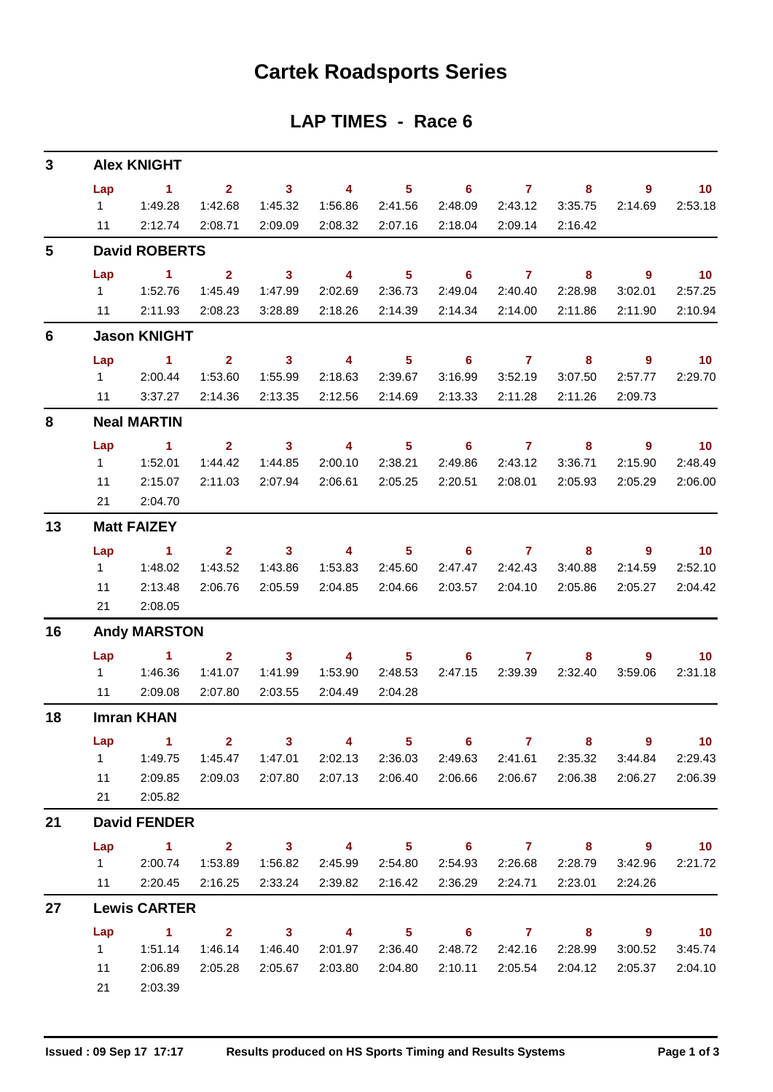## **Cartek Roadsports Series**

### **LAP TIMES - Race 6**

| 3  |           | <b>Alex KNIGHT</b>   |                |                            |                |                            |                            |                |         |                            |                             |
|----|-----------|----------------------|----------------|----------------------------|----------------|----------------------------|----------------------------|----------------|---------|----------------------------|-----------------------------|
|    | Lap       | $\sim$ 1             | 2 <sup>1</sup> | $\overline{\mathbf{3}}$    | 4              | 5 <sub>1</sub>             | 6                          | $\mathbf{7}$   | 8       | 9                          | 10                          |
|    | $1 \quad$ | 1:49.28              | 1:42.68        | 1:45.32                    | 1:56.86        | 2:41.56                    | 2:48.09                    | 2:43.12        | 3:35.75 | 2:14.69                    | 2:53.18                     |
|    | 11        | 2:12.74              | 2:08.71        | 2:09.09                    | 2:08.32        | 2:07.16                    | 2:18.04                    | 2:09.14        | 2:16.42 |                            |                             |
| 5  |           | <b>David ROBERTS</b> |                |                            |                |                            |                            |                |         |                            |                             |
|    | Lap       | $\blacktriangleleft$ | $\mathbf{2}$   | $\mathbf{3}$               | 4              | 5 <sup>5</sup>             | 6                          | $\mathbf{7}$   | 8       | $\overline{9}$             | 10                          |
|    | $1 \quad$ | 1:52.76              | 1:45.49        | 1:47.99                    | 2:02.69        | 2:36.73                    | 2:49.04                    | 2:40.40        | 2:28.98 | 3:02.01                    | 2:57.25                     |
|    | 11        | 2:11.93              | 2:08.23        | 3:28.89                    | 2:18.26        | 2:14.39                    | 2:14.34                    | 2:14.00        | 2:11.86 | 2:11.90                    | 2:10.94                     |
| 6  |           | <b>Jason KNIGHT</b>  |                |                            |                |                            |                            |                |         |                            |                             |
|    | Lap       | $\sim$ 1             | $\mathbf{2}$   | $\overline{\phantom{a}}$ 3 | 4              | 5 <sup>5</sup>             | $\overline{\phantom{0}}$ 6 | $\overline{7}$ | 8       | 9                          | $\blacksquare$ 10           |
|    | $1 \quad$ | 2:00.44              | 1:53.60        | 1:55.99                    | 2:18.63        | 2:39.67                    | 3:16.99                    | 3:52.19        | 3:07.50 | 2:57.77                    | 2:29.70                     |
|    | 11        | 3:37.27              | 2:14.36        | 2:13.35                    | 2:12.56        | 2:14.69                    | 2:13.33                    | 2:11.28        | 2:11.26 | 2:09.73                    |                             |
| 8  |           | <b>Neal MARTIN</b>   |                |                            |                |                            |                            |                |         |                            |                             |
|    | Lap       | $\blacktriangleleft$ | $\mathbf{2}$   | $\mathbf{3}$               | 4              | 5 <sup>5</sup>             | $6\phantom{1}$             | $\overline{7}$ | 8       | $\overline{9}$             | $\blacksquare$ 10           |
|    | $1 \quad$ | 1:52.01              | 1:44.42        | 1:44.85                    | 2:00.10        | 2:38.21                    | 2:49.86                    | 2:43.12        | 3:36.71 | 2:15.90                    | 2:48.49                     |
|    | 11        | 2:15.07              | 2:11.03        | 2:07.94                    | 2:06.61        | 2:05.25                    | 2:20.51                    | 2:08.01        | 2:05.93 | 2:05.29                    | 2:06.00                     |
|    | 21        | 2:04.70              |                |                            |                |                            |                            |                |         |                            |                             |
| 13 |           | <b>Matt FAIZEY</b>   |                |                            |                |                            |                            |                |         |                            |                             |
|    | Lap       | $\sim$ 1             | $\overline{2}$ | 3 <sup>1</sup>             | 4              | 5                          | 6                          | $\mathbf{7}$   | 8       | 9                          | 10                          |
|    | 1         | 1:48.02              | 1:43.52        | 1:43.86                    | 1:53.83        | 2:45.60                    | 2:47.47                    | 2:42.43        | 3:40.88 | 2:14.59                    | 2:52.10                     |
|    | 11        | 2:13.48              | 2:06.76        | 2:05.59                    | 2:04.85        | 2:04.66                    | 2:03.57                    | 2:04.10        | 2:05.86 | 2:05.27                    | 2:04.42                     |
|    | 21        | 2:08.05              |                |                            |                |                            |                            |                |         |                            |                             |
| 16 |           | <b>Andy MARSTON</b>  |                |                            |                |                            |                            |                |         |                            |                             |
|    | Lap       | $\sim$ 1             | $\mathbf{2}$   | $\mathbf{3}$               | 4              | 5 <sup>5</sup>             | 6                          | $\overline{7}$ | 8       | 9                          | 10                          |
|    | $1 \quad$ | 1:46.36              | 1:41.07        | 1:41.99                    | 1:53.90        | 2:48.53                    | 2:47.15                    | 2:39.39        | 2:32.40 | 3:59.06                    | 2:31.18                     |
|    | 11        | 2:09.08              | 2:07.80        | 2:03.55                    | 2:04.49        | 2:04.28                    |                            |                |         |                            |                             |
| 18 |           | <b>Imran KHAN</b>    |                |                            |                |                            |                            |                |         |                            |                             |
|    | Lap       | $\sim$ 1             | $2 \t 3$       |                            | $\overline{4}$ |                            | $5 \t\t 6 \t\t 7$          |                |         | $8$ 9                      | $\overline{10}$             |
|    | $1 \quad$ | 1:49.75              | 1:45.47        | 1:47.01                    | 2:02.13        | 2:36.03                    | 2:49.63                    | 2:41.61        | 2:35.32 | 3:44.84                    | 2:29.43                     |
|    | 11        | 2:09.85              | 2:09.03        | 2:07.80                    | 2:07.13        | 2:06.40                    | 2:06.66                    | 2:06.67        | 2:06.38 | 2:06.27                    | 2:06.39                     |
|    | 21        | 2:05.82              |                |                            |                |                            |                            |                |         |                            |                             |
| 21 |           | <b>David FENDER</b>  |                |                            |                |                            |                            |                |         |                            |                             |
|    | Lap       | $1 \t2 \t3 \t4$      |                |                            |                | $\overline{\phantom{1}}$ 5 |                            | $6$ $7$ $8$    |         | $9 \t 10$                  |                             |
|    |           | 1 2:00.74            | 1:53.89        | 1:56.82                    | 2:45.99        | 2:54.80                    | 2:54.93                    | 2:26.68        | 2:28.79 | 3:42.96                    | 2:21.72                     |
|    |           | 11 2:20.45 2:16.25   |                | 2:33.24                    | 2:39.82        | 2:16.42                    | 2:36.29                    | 2:24.71        | 2:23.01 | 2:24.26                    |                             |
| 27 |           | <b>Lewis CARTER</b>  |                |                            |                |                            |                            |                |         |                            |                             |
|    |           | Lap 1 2              |                |                            | $3 \t 4$       | $\overline{\phantom{0}}$ 5 |                            | $6$ $7$ $8$    |         | $\overline{\phantom{a}}$ 9 | $\overline{\phantom{0}}$ 10 |
|    | $1 \quad$ | 1:51.14              | 1:46.14        | 1:46.40                    | 2:01.97        | 2:36.40                    | 2:48.72                    | 2:42.16        | 2:28.99 | 3:00.52                    | 3:45.74                     |
|    | 11        | 2:06.89              | 2:05.28        | 2:05.67                    | 2:03.80        | 2:04.80                    | 2:10.11                    | 2:05.54        | 2:04.12 | 2:05.37                    | 2:04.10                     |
|    | 21        | 2:03.39              |                |                            |                |                            |                            |                |         |                            |                             |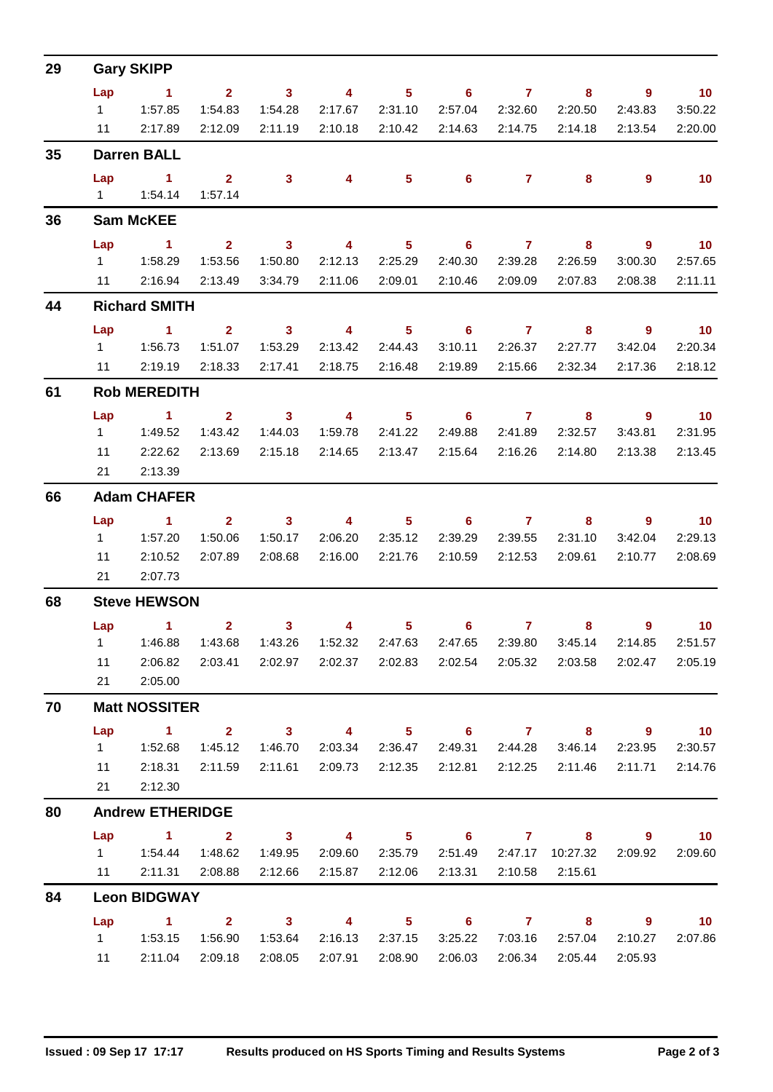| 29 |           | <b>Gary SKIPP</b>                                                                                    |                         |                         |                         |                            |                                   |                 |                            |                            |                             |
|----|-----------|------------------------------------------------------------------------------------------------------|-------------------------|-------------------------|-------------------------|----------------------------|-----------------------------------|-----------------|----------------------------|----------------------------|-----------------------------|
|    | Lap       | $\sim$ 1                                                                                             | $\overline{\mathbf{2}}$ | $\sim$ 3                | $\overline{4}$          | 5 <sub>5</sub>             | $\overline{\phantom{0}}$ 6        | $\overline{7}$  | 8                          | $\overline{9}$             | $\blacksquare$ 10           |
|    | $1 \quad$ | 1:57.85                                                                                              | 1:54.83                 | 1:54.28                 | 2:17.67                 | 2:31.10                    | 2:57.04                           | 2:32.60         | 2:20.50                    | 2:43.83                    | 3:50.22                     |
|    |           | 11 2:17.89                                                                                           | 2:12.09                 | 2:11.19                 |                         | 2:10.18 2:10.42            | 2:14.63                           | 2:14.75         | 2:14.18                    | 2:13.54                    | 2:20.00                     |
| 35 |           | <b>Darren BALL</b>                                                                                   |                         |                         |                         |                            |                                   |                 |                            |                            |                             |
|    | Lap       | $\sim$ 1                                                                                             | $\mathbf{2}$            | $\mathbf{3}$            | 4                       | $5^{\circ}$                | $6^{\circ}$                       | 7 <sup>7</sup>  | 8                          | 9                          | 10                          |
|    |           | 1   1:54.14                                                                                          | 1:57.14                 |                         |                         |                            |                                   |                 |                            |                            |                             |
| 36 |           | <b>Sam McKEE</b>                                                                                     |                         |                         |                         |                            |                                   |                 |                            |                            |                             |
|    | Lap       | $\sim$ $\sim$ 1                                                                                      | $\overline{\mathbf{2}}$ | $\overline{\mathbf{3}}$ | $\overline{\mathbf{4}}$ | $\overline{\phantom{0}}$ 5 | $\overline{\phantom{0}}$ 6        | $\overline{7}$  | $\overline{\phantom{a}}$ 8 | $\overline{\phantom{a}}$   | $\overline{10}$             |
|    |           |                                                                                                      | 1:53.56                 | 1:50.80                 | 2:12.13                 | 2:25.29                    | 2:40.30                           | 2:39.28         | 2:26.59                    | 3:00.30                    | 2:57.65                     |
|    |           | 11 2:16.94                                                                                           | 2:13.49                 | 3:34.79                 | 2:11.06                 | 2:09.01                    | 2:10.46                           | 2:09.09         | 2:07.83                    | 2:08.38                    | 2:11.11                     |
| 44 |           | <b>Richard SMITH</b>                                                                                 |                         |                         |                         |                            |                                   |                 |                            |                            |                             |
|    | Lap       | $\sim$ $\sim$ 1.                                                                                     | $\overline{2}$          | $\overline{\mathbf{3}}$ | $\overline{\mathbf{4}}$ | $\overline{\phantom{0}}$ 5 | $\overline{\phantom{0}}$ 6        | $\overline{7}$  | 8                          | $9^{\circ}$                | $\overline{10}$             |
|    | $1 \quad$ | 1:56.73                                                                                              | 1:51.07                 | 1:53.29                 | 2:13.42                 | 2:44.43                    | 3:10.11                           | 2:26.37         | 2:27.77                    | 3:42.04                    | 2:20.34                     |
|    |           | 11 2:19.19 2:18.33                                                                                   |                         | 2:17.41                 | 2:18.75                 | 2:16.48                    | 2:19.89                           | 2:15.66         | 2:32.34                    | 2:17.36                    | 2:18.12                     |
| 61 |           | <b>Rob MEREDITH</b>                                                                                  |                         |                         |                         |                            |                                   |                 |                            |                            |                             |
|    | Lap       | $\sim$ 1 $\sim$ 2                                                                                    |                         |                         | $3 \t 4$                | $\overline{\phantom{1}}$ 5 |                                   | $6$ $7$ $8$     |                            | - 9                        | $\overline{10}$             |
|    |           |                                                                                                      | 1:43.42                 | 1:44.03                 | 1:59.78                 | 2:41.22                    | 2:49.88                           | 2:41.89         | 2:32.57                    | 3:43.81                    | 2:31.95                     |
|    | 11        | 2:22.62                                                                                              | 2:13.69                 | 2:15.18                 |                         | 2:14.65 2:13.47            | 2:15.64                           | 2:16.26         | 2:14.80                    | 2:13.38                    | 2:13.45                     |
|    | 21        | 2:13.39                                                                                              |                         |                         |                         |                            |                                   |                 |                            |                            |                             |
| 66 |           | <b>Adam CHAFER</b>                                                                                   |                         |                         |                         |                            |                                   |                 |                            |                            |                             |
|    | Lap       | $\sim$ 1                                                                                             | 2 <sup>2</sup>          | $\sim$ 3                | $\overline{4}$          | $5 -$                      | $\overline{6}$ and $\overline{7}$ |                 | 8                          | 9                          | $\overline{\phantom{0}}$ 10 |
|    | $1 \quad$ | 1:57.20                                                                                              | 1:50.06                 | 1:50.17                 | 2:06.20                 | 2:35.12                    | 2:39.29                           | 2:39.55         | 2:31.10                    | 3:42.04                    | 2:29.13                     |
|    | 11<br>21  | 2:10.52<br>2:07.73                                                                                   | 2:07.89                 | 2:08.68                 |                         | 2:16.00 2:21.76            | 2:10.59                           | 2:12.53         | 2:09.61                    | 2:10.77                    | 2:08.69                     |
|    |           |                                                                                                      |                         |                         |                         |                            |                                   |                 |                            |                            |                             |
| 68 |           | <b>Steve HEWSON</b>                                                                                  |                         |                         |                         |                            |                                   |                 |                            |                            |                             |
|    |           | Lap 1<br>1   1:46.88   1:43.68   1:43.26   1:52.32   2:47.63   2:47.65   2:39.80   3:45.14   2:14.85 | $\overline{\mathbf{2}}$ | 3 <sub>1</sub>          | $\overline{\mathbf{4}}$ | 5 <sub>5</sub>             | 6 <sup>1</sup>                    | 7 <sup>7</sup>  | 8                          | $9^{\circ}$                | 10 <sub>1</sub><br>2:51.57  |
|    | 11        | 2:06.82                                                                                              | 2:03.41                 |                         | 2:02.97 2:02.37 2:02.83 |                            |                                   | 2:02.54 2:05.32 | 2:03.58                    | 2:02.47                    | 2:05.19                     |
|    | 21        | 2:05.00                                                                                              |                         |                         |                         |                            |                                   |                 |                            |                            |                             |
| 70 |           | <b>Matt NOSSITER</b>                                                                                 |                         |                         |                         |                            |                                   |                 |                            |                            |                             |
|    | Lap       | $\sim$ 1                                                                                             | $\mathbf{2}$            | $\sim$ 3                | $\sim$ 4 and $\sim$     |                            | $5 \t\t 6 \t\t 7 \t\t 8$          |                 |                            | $\overline{\phantom{a}}$   | $\overline{10}$             |
|    | $1 -$     | 1:52.68                                                                                              | 1:45.12                 | 1:46.70                 |                         | 2:03.34 2:36.47            |                                   | 2:49.31 2:44.28 | 3:46.14                    | 2:23.95                    | 2:30.57                     |
|    | 11        | 2:18.31                                                                                              | 2:11.59                 | 2:11.61                 | 2:09.73                 | 2:12.35                    | 2:12.81                           | 2:12.25         | 2:11.46                    | 2:11.71                    | 2:14.76                     |
|    | 21        | 2:12.30                                                                                              |                         |                         |                         |                            |                                   |                 |                            |                            |                             |
| 80 |           | <b>Andrew ETHERIDGE</b>                                                                              |                         |                         |                         |                            |                                   |                 |                            |                            |                             |
|    |           | Lap $1$ 2                                                                                            |                         |                         | $3 \t 4$                |                            |                                   |                 | 5 6 7 8                    | $\overline{\mathbf{9}}$    | $\overline{\mathbf{10}}$    |
|    | $1 \quad$ | 1:54.44                                                                                              | 1:48.62                 | 1:49.95                 | 2:09.60                 | 2:35.79                    | 2:51.49                           |                 | 2:47.17 10:27.32           | 2:09.92                    | 2:09.60                     |
|    | 11        | 2:11.31                                                                                              | 2:08.88                 | 2:12.66                 | 2:15.87                 | 2:12.06                    | 2:13.31                           | 2:10.58         | 2:15.61                    |                            |                             |
| 84 |           | <b>Leon BIDGWAY</b>                                                                                  |                         |                         |                         |                            |                                   |                 |                            |                            |                             |
|    | Lap       | $\sim$ $-1$                                                                                          |                         | $2 \t 3 \t 4$           |                         | 5 <sub>1</sub>             | $\overline{\phantom{a}}$ 6        | $7 \t 8$        |                            | $\overline{\phantom{a}}$ 9 | 10                          |
|    |           |                                                                                                      | 1:56.90                 | 1:53.64                 | 2:16.13                 | 2:37.15                    | 3:25.22                           | 7:03.16         | 2:57.04                    | 2:10.27                    | 2:07.86                     |
|    | 11        | 2:11.04                                                                                              | 2:09.18                 | 2:08.05                 | 2:07.91                 | 2:08.90                    | 2:06.03                           | 2:06.34         | 2:05.44                    | 2:05.93                    |                             |